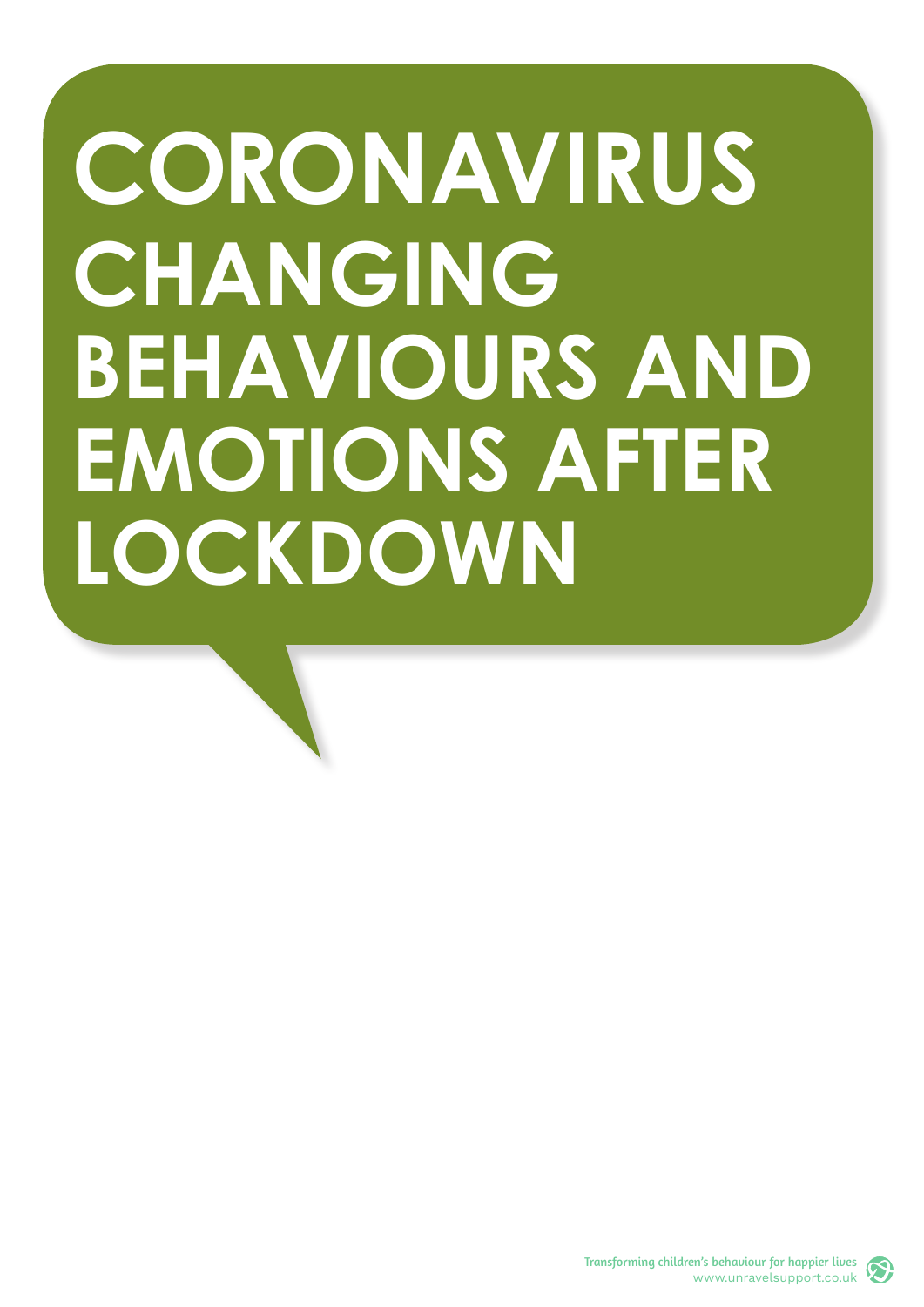# **CORONAVIRUS CHANGING BEHAVIOURS AND EMOTIONS AFTER LOCKDOWN**

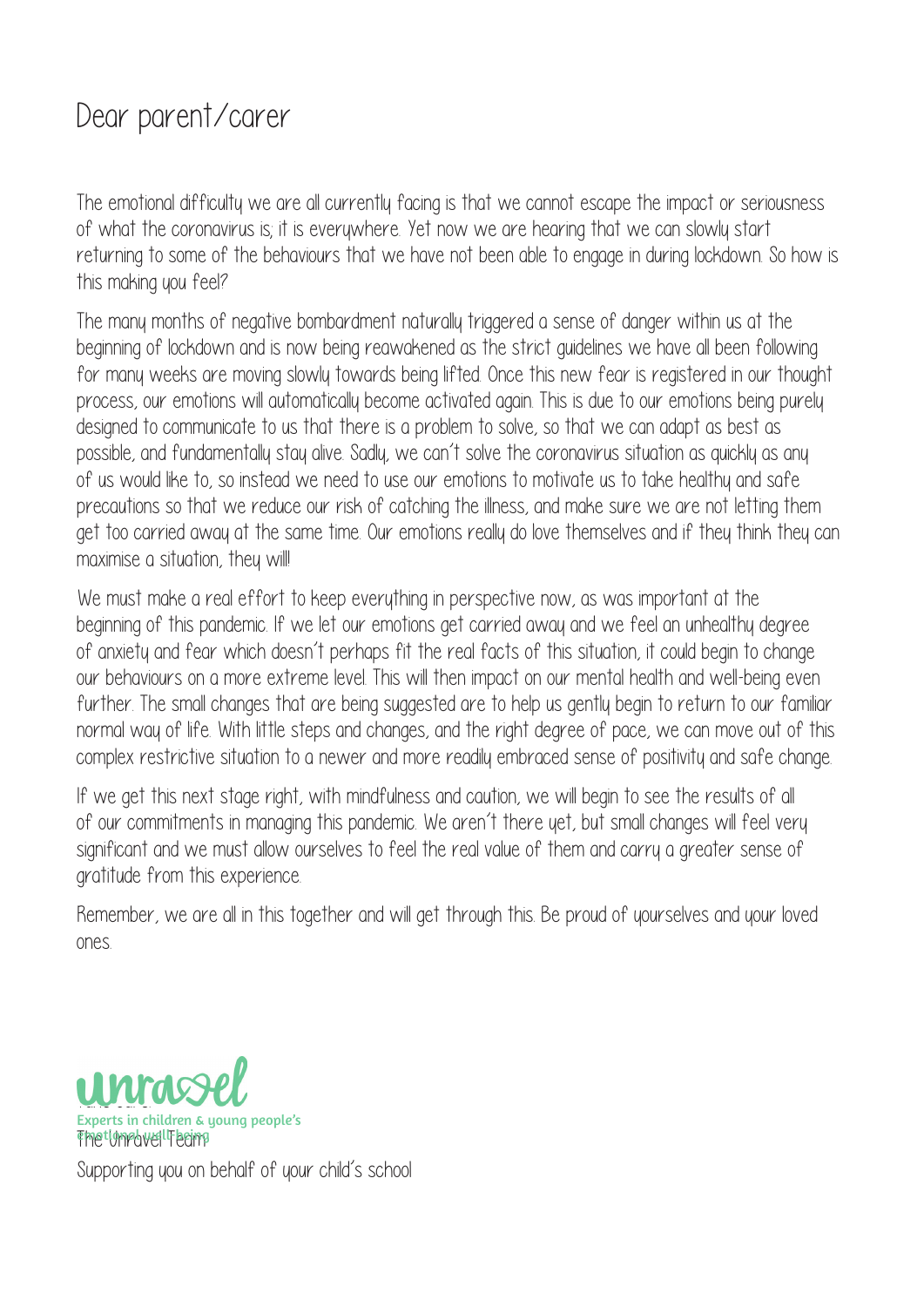### Dear parent/carer

The emotional difficulty we are all currently facing is that we cannot escape the impact or seriousness of what the coronavirus is; it is everywhere. Yet now we are hearing that we can slowly start returning to some of the behaviours that we have not been able to engage in during lockdown. So how is this making you feel?

The many months of negative bombardment naturally triggered a sense of danger within us at the beginning of lockdown and is now being reawakened as the strict guidelines we have all been following for many weeks are moving slowly towards being lifted. Once this new fear is registered in our thought process, our emotions will automatically become activated again. This is due to our emotions being purely designed to communicate to us that there is a problem to solve, so that we can adapt as best as possible, and fundamentally stay alive. Sadly, we can't solve the coronavirus situation as quickly as any of us would like to, so instead we need to use our emotions to motivate us to take healthy and safe precautions so that we reduce our risk of catching the illness, and make sure we are not letting them get too carried away at the same time. Our emotions really do love themselves and if they think they can maximise a situation, they will!

We must make a real effort to keep everything in perspective now, as was important at the beginning of this pandemic. If we let our emotions get carried away and we feel an unhealthy degree of anxiety and fear which doesn't perhaps fit the real facts of this situation, it could begin to change our behaviours on a more extreme level. This will then impact on our mental health and well-being even further. The small changes that are being suggested are to help us gently begin to return to our familiar normal way of life. With little steps and changes, and the right degree of pace, we can move out of this complex restrictive situation to a newer and more readily embraced sense of positivity and safe change.

If we get this next stage right, with mindfulness and caution, we will begin to see the results of all of our commitments in managing this pandemic. We aren't there yet, but small changes will feel very significant and we must allow ourselves to feel the real value of them and carry a greater sense of gratitude from this experience.

Remember, we are all in this together and will get through this. Be proud of yourselves and your loved ones.

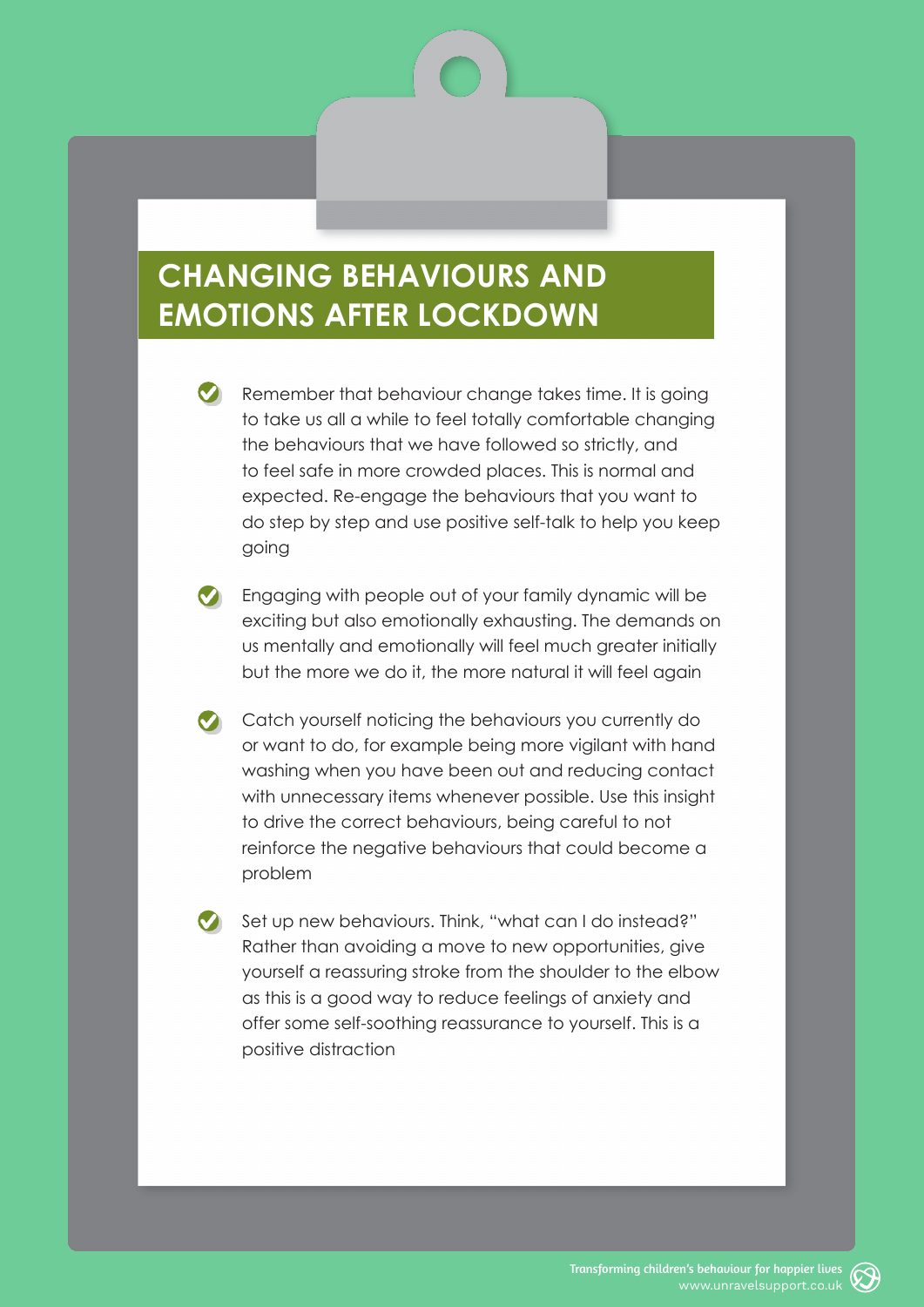#### **CHANGING BEHAVIOURS AND EMOTIONS AFTER LOCKDOWN**

Remember that behaviour change takes time. It is going to take us all a while to feel totally comfortable changing the behaviours that we have followed so strictly, and to feel safe in more crowded places. This is normal and expected. Re-engage the behaviours that you want to do step by step and use positive self-talk to help you keep going

- **C** Engaging with people out of your family dynamic will be exciting but also emotionally exhausting. The demands on us mentally and emotionally will feel much greater initially but the more we do it, the more natural it will feel again
- Catch yourself noticing the behaviours you currently do or want to do, for example being more vigilant with hand washing when you have been out and reducing contact with unnecessary items whenever possible. Use this insight to drive the correct behaviours, being careful to not reinforce the negative behaviours that could become a problem

Set up new behaviours. Think, "what can I do instead?" Rather than avoiding a move to new opportunities, give yourself a reassuring stroke from the shoulder to the elbow as this is a good way to reduce feelings of anxiety and offer some self-soothing reassurance to yourself. This is a positive distraction

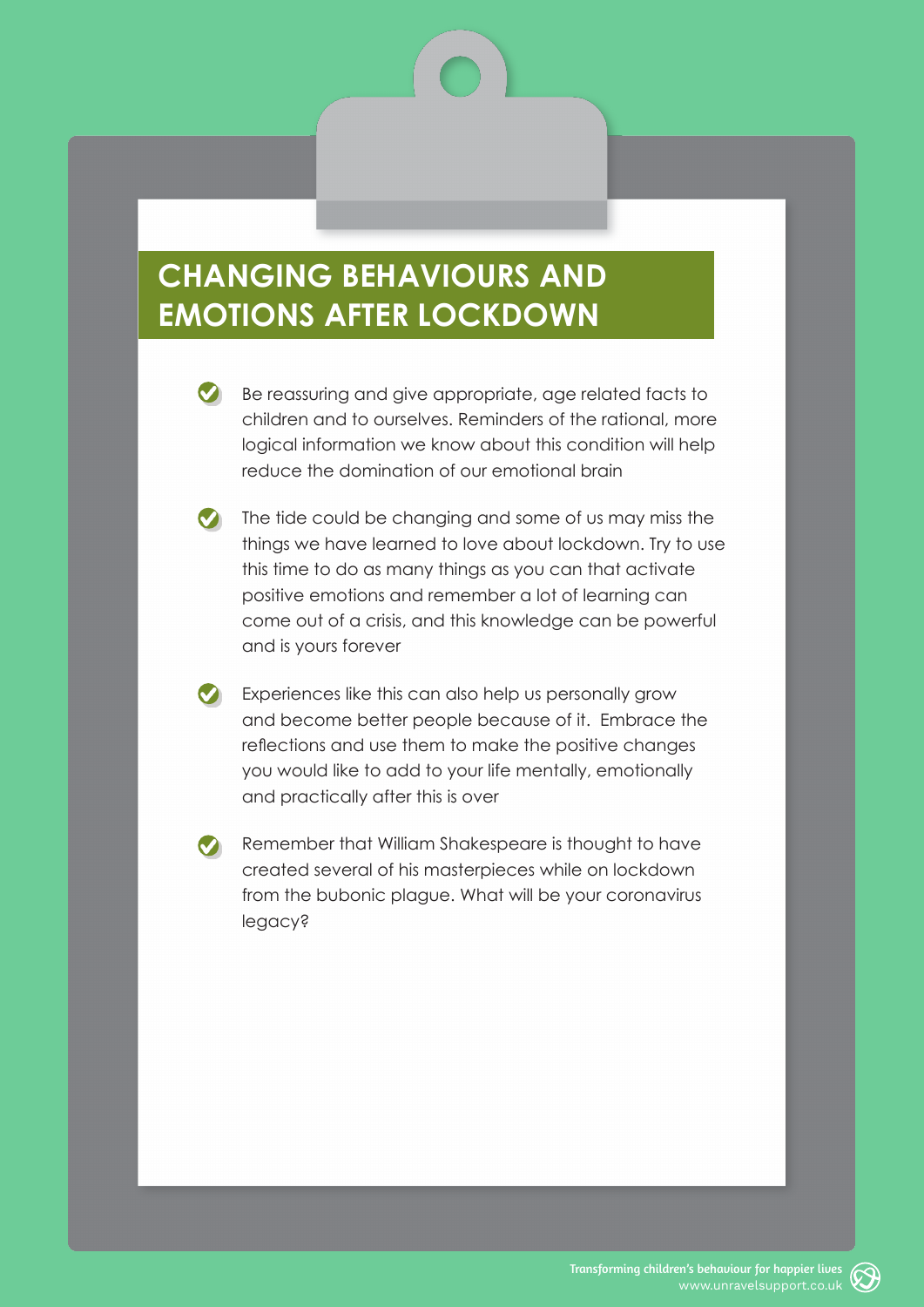#### **CHANGING BEHAVIOURS AND EMOTIONS AFTER LOCKDOWN**

- Be reassuring and give appropriate, age related facts to children and to ourselves. Reminders of the rational, more logical information we know about this condition will help reduce the domination of our emotional brain
- $\bigcirc$  The tide could be changing and some of us may miss the things we have learned to love about lockdown. Try to use this time to do as many things as you can that activate positive emotions and remember a lot of learning can come out of a crisis, and this knowledge can be powerful and is yours forever
- Experiences like this can also help us personally grow and become better people because of it. Embrace the reflections and use them to make the positive changes you would like to add to your life mentally, emotionally and practically after this is over
- Remember that William Shakespeare is thought to have created several of his masterpieces while on lockdown from the bubonic plague. What will be your coronavirus legacy?